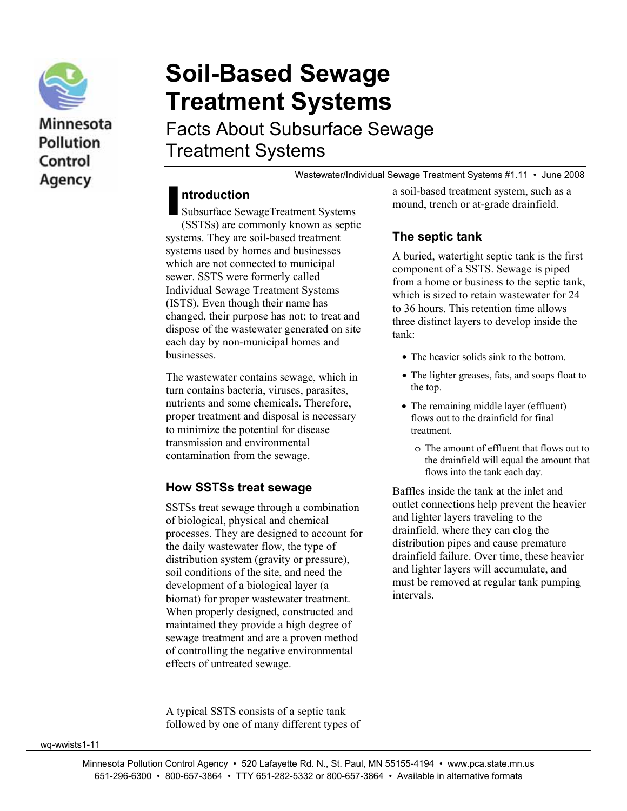

Minnesota **Pollution** Control Agency

# **Soil-Based Sewage Treatment Systems**

Facts About Subsurface Sewage Treatment Systems

Wastewater/Individual Sewage Treatment Systems #1.11 • June 2008

#### **ntroduction**

ntroduction<br>
Subsurface SewageTreatment Systems<br>
(SSTSe) are commonly known as conti (SS TSs) are commonly known as septic systems. They are soil-based treatment systems used by homes and businesses which are not connected to municipal sewer. SSTS were formerly called Individual Sewage Treatment Systems (ISTS). Even though their name has changed, their purpose has not; to treat and dispose of the wastewater generated on site each day by non-municipal homes and businesses.

The wastewater contains sewage, which in turn contains bacteria, viruses, parasites, nutrients and some chemicals. Therefore, proper treatment and disposal is necessary to minimize the potential for disease transmission and environmental contamination from the sewage.

#### **How SSTSs treat sewage**

SSTSs treat sewage through a combination of biological, physical and chemical processes. They are designed to account for the daily wastewater flow, the type of distribution system (gravity or pressure), soil conditions of the site, and need the development of a biological layer (a biomat) for proper wastewater treatment. When properly designed, constructed and maintained they provide a high degree of sewage treatment and are a proven method of controlling the negative environmental effects of untreated sewage.

A typical SSTS consists of a septic tank followed by one of many different types of a soil-based treatment system, such as a mound, trench or at-grade drainfield.

#### **The septic tank**

A buried, watertight septic tank is the first component of a SSTS. Sewage is piped from a home or business to the septic tank, which is sized to retain wastewater for 24 to 36 hours. This retention time allows three distinct layers to develop inside the tank:

- The heavier solids sink to the bottom.
- The lighter greases, fats, and soaps float to the top.
- The remaining middle layer (effluent) flows out to the drainfield for final treatment.
	- o The amount of effluent that flows out to the drainfield will equal the amount that flows into the tank each day.

Baffles inside the tank at the inlet and outlet connections help prevent the heavier and lighter layers traveling to the drainfield, where they can clog the distribution pipes and cause premature drainfield failure. Over time, these heavier and lighter layers will accumulate, and must be removed at regular tank pumping intervals.